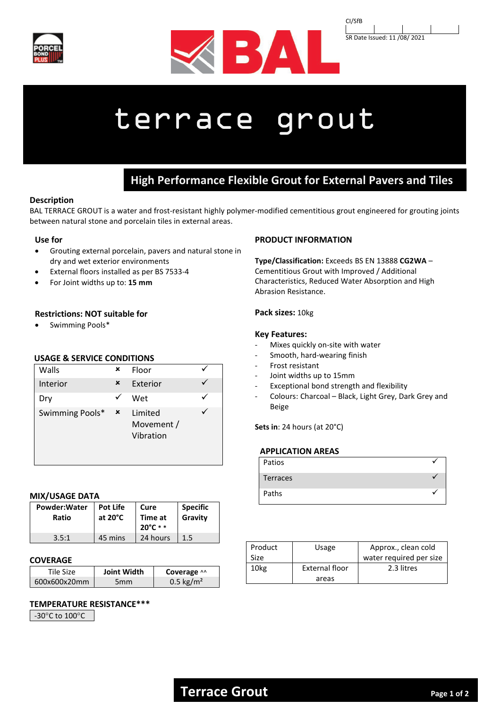





# terrace grout

## **High Performance Flexible Grout for External Pavers and Tiles**

#### **Description**

BAL TERRACE GROUT is a water and frost-resistant highly polymer-modified cementitious grout engineered for grouting joints between natural stone and porcelain tiles in external areas.

### **Use for**

- Grouting external porcelain, pavers and natural stone in dry and wet exterior environments
- External floors installed as per BS 7533-4
- For Joint widths up to: **15 mm**

#### **Restrictions: NOT suitable for**

• Swimming Pools\*

#### **USAGE & SERVICE CONDITIONS**

| Walls           | × | Floor                              |  |
|-----------------|---|------------------------------------|--|
| <b>Interior</b> | × | Exterior                           |  |
| Dry             |   | Wet                                |  |
| Swimming Pools* | × | Limited<br>Movement /<br>Vibration |  |

#### **MIX/USAGE DATA**

| Powder: Water<br>Ratio | <b>Pot Life</b><br>at $20^{\circ}$ C | Cure<br>Time at<br>$20^{\circ}$ C * * | <b>Specific</b><br>Gravity |
|------------------------|--------------------------------------|---------------------------------------|----------------------------|
| 3.5:1                  | 45 mins                              | 24 hours                              | 1.5                        |

#### **COVERAGE**

| Tile Size-   | <b>Joint Width</b> | Coverage ^^           |
|--------------|--------------------|-----------------------|
| 600x600x20mm | 5 <sub>mm</sub>    | 0.5 kg/m <sup>2</sup> |

#### **TEMPERATURE RESISTANCE\*\*\***

-30°C to 100°C

#### **PRODUCT INFORMATION**

**Type/Classification:** Exceeds BS EN 13888 **CG2WA** – Cementitious Grout with Improved / Additional Characteristics, Reduced Water Absorption and High Abrasion Resistance.

#### **Pack sizes:** 10kg

#### **Key Features:**

- Mixes quickly on-site with water
- Smooth, hard-wearing finish
- Frost resistant
- Joint widths up to 15mm
- Exceptional bond strength and flexibility
- Colours: Charcoal Black, Light Grey, Dark Grey and Beige

**Sets in**: 24 hours (at 20°C)

#### **APPLICATION AREAS**

| Patios   |  |
|----------|--|
| Terraces |  |
| Paths    |  |

| Product | Usage                 | Approx., clean cold     |
|---------|-----------------------|-------------------------|
| Size    |                       | water required per size |
| 10kg    | <b>External floor</b> | 2.3 litres              |
|         | areas                 |                         |

## **Terrace Grout** Page 1 of 2